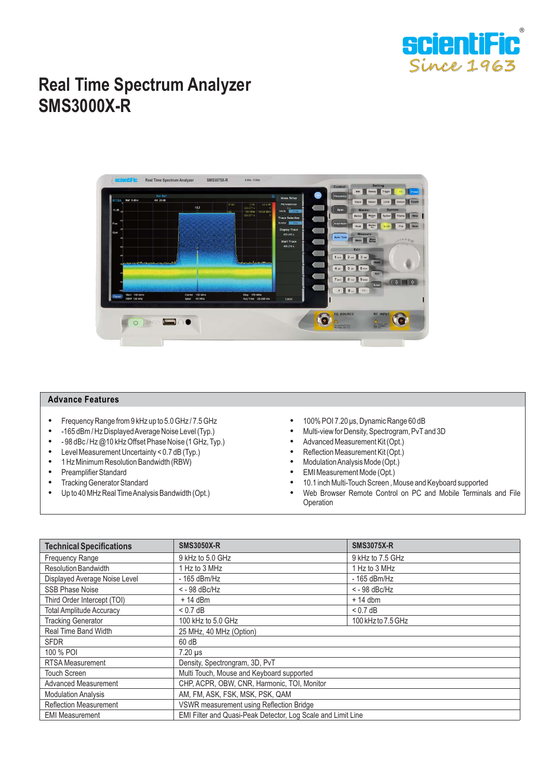

## **Real Time Spectrum Analyzer SMS3000X-R**



## **Advance Features**

- Frequency Range from 9 kHz up to 5.0 GHz / 7.5 GHz<br>• -165 dBm / Hz Displayed Average Noise Level (Tvp.)
- 165 dBm / Hz Displayed Average Noise Level (Typ.)<br>- 98 dBc / Hz @ 10 kHz Offset Phase Noise (1 GHz Type)
- 98 dBc / Hz  $@10$  kHz Offset Phase Noise (1 GHz, Typ.)<br>- Level Measurement Uncertainty < 0.7 dB (Typ.)
- Level Measurement Uncertainty < 0.7 dB (Typ.)<br>• 1 Hz Minimum Resolution Bandwidth (RBW)
- 1 Hz Minimum Resolution Bandwidth (RBW)<br>• Preamplifier Standard
- Preamplifier Standard<br>• Tracking Generator Sta
- Tracking Generator Standard
- Up to 40 MHz Real Time Analysis Bandwidth (Opt.)
- 100% POI 7.20 μs, Dynamic Range 60 dB<br>• Multi-view for Density Spectrogram PyT:
- Multi-view for Density, Spectrogram, PvTand 3D
- Advanced Measurement Kit (Opt.)
- Reflection Measurement Kit (Opt.)<br>• Modulation Analysis Mode (Opt.)
- Modulation Analysis Mode (Opt.)<br>• EMI Measurement Mode (Opt.)
- EMI Measurement Mode (Opt.)<br>• 10.1 inch Multi-Touch Screen A
- 10.1 inch Multi-Touch Screen , Mouse and Keyboard supported
- Web Browser Remote Control on PC and Mobile Terminals and File **Operation**

| <b>Technical Specifications</b> | <b>SMS3050X-R</b>                                            | <b>SMS3075X-R</b>  |  |
|---------------------------------|--------------------------------------------------------------|--------------------|--|
| Frequency Range                 | 9 kHz to 5.0 GHz                                             | 9 kHz to 7.5 GHz   |  |
| <b>Resolution Bandwidth</b>     | 1 Hz to 3 MHz                                                | 1 Hz to 3 MHz      |  |
| Displayed Average Noise Level   | - 165 dBm/Hz                                                 | - 165 dBm/Hz       |  |
| <b>SSB Phase Noise</b>          | $<$ - 98 dBc/Hz                                              | $<$ - 98 dBc/Hz    |  |
| Third Order Intercept (TOI)     | $+14$ dBm                                                    | $+14$ dbm          |  |
| <b>Total Amplitude Accuracy</b> | $< 0.7$ dB                                                   | $< 0.7$ dB         |  |
| <b>Tracking Generator</b>       | 100 kHz to 5.0 GHz                                           | 100 kHz to 7.5 GHz |  |
| Real Time Band Width            | 25 MHz, 40 MHz (Option)                                      |                    |  |
| <b>SFDR</b>                     | 60 dB                                                        |                    |  |
| 100 % POI                       | $7.20 \mu s$                                                 |                    |  |
| <b>RTSA Measurement</b>         | Density, Spectrongram, 3D, PvT                               |                    |  |
| <b>Touch Screen</b>             | Multi Touch, Mouse and Keyboard supported                    |                    |  |
| <b>Advanced Measurement</b>     | CHP, ACPR, OBW, CNR, Harmonic, TOI, Monitor                  |                    |  |
| <b>Modulation Analysis</b>      | AM, FM, ASK, FSK, MSK, PSK, QAM                              |                    |  |
| <b>Reflection Measurement</b>   | VSWR measurement using Reflection Bridge                     |                    |  |
| <b>EMI Measurement</b>          | EMI Filter and Quasi-Peak Detector, Log Scale and Limit Line |                    |  |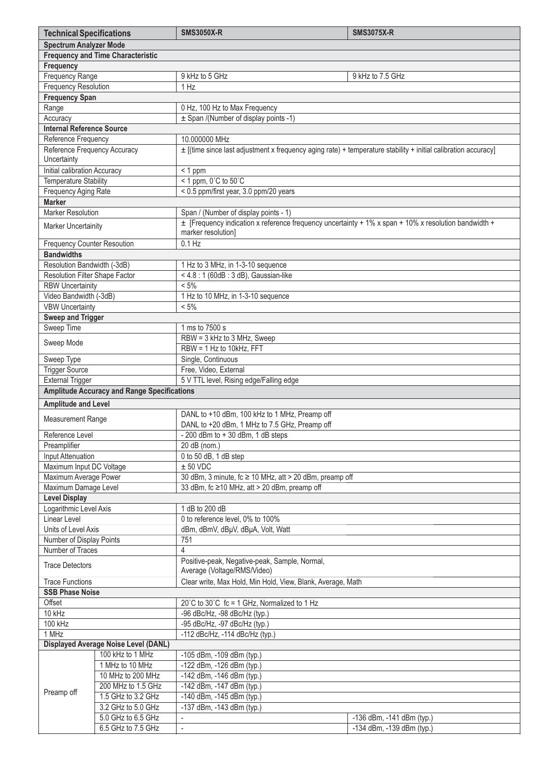| <b>Technical Specifications</b>                                   |                                                                                       | <b>SMS3050X-R</b>                                                                                                  | <b>SMS3075X-R</b>         |  |  |  |
|-------------------------------------------------------------------|---------------------------------------------------------------------------------------|--------------------------------------------------------------------------------------------------------------------|---------------------------|--|--|--|
|                                                                   | <b>Spectrum Analyzer Mode</b>                                                         |                                                                                                                    |                           |  |  |  |
|                                                                   | <b>Frequency and Time Characteristic</b>                                              |                                                                                                                    |                           |  |  |  |
| Frequency                                                         |                                                                                       |                                                                                                                    |                           |  |  |  |
| Frequency Range                                                   |                                                                                       | 9 kHz to 5 GHz<br>9 kHz to 7.5 GHz                                                                                 |                           |  |  |  |
| <b>Frequency Resolution</b>                                       |                                                                                       | 1 Hz                                                                                                               |                           |  |  |  |
| <b>Frequency Span</b>                                             |                                                                                       |                                                                                                                    |                           |  |  |  |
| Range                                                             |                                                                                       | 0 Hz, 100 Hz to Max Frequency                                                                                      |                           |  |  |  |
| Accuracy                                                          |                                                                                       | ± Span /(Number of display points -1)                                                                              |                           |  |  |  |
| <b>Internal Reference Source</b>                                  |                                                                                       |                                                                                                                    |                           |  |  |  |
| Reference Frequency                                               |                                                                                       | 10.000000 MHz                                                                                                      |                           |  |  |  |
| Reference Frequency Accuracy                                      |                                                                                       | $\pm$ [(time since last adjustment x frequency aging rate) + temperature stability + initial calibration accuracy] |                           |  |  |  |
| Uncertainty                                                       |                                                                                       |                                                                                                                    |                           |  |  |  |
| Initial calibration Accuracy                                      |                                                                                       | $< 1$ ppm                                                                                                          |                           |  |  |  |
| <b>Temperature Stability</b>                                      |                                                                                       | $<$ 1 ppm, 0°C to 50°C                                                                                             |                           |  |  |  |
| Frequency Aging Rate                                              |                                                                                       | < 0.5 ppm/first year, 3.0 ppm/20 years                                                                             |                           |  |  |  |
| <b>Marker</b>                                                     |                                                                                       |                                                                                                                    |                           |  |  |  |
| <b>Marker Resolution</b><br>Span / (Number of display points - 1) |                                                                                       |                                                                                                                    |                           |  |  |  |
| <b>Marker Uncertainity</b>                                        |                                                                                       | ± [Frequency indication x reference frequency uncertainty + 1% x span + 10% x resolution bandwidth +               |                           |  |  |  |
|                                                                   |                                                                                       | marker resolution]                                                                                                 |                           |  |  |  |
| <b>Frequency Counter Resoution</b>                                |                                                                                       |                                                                                                                    | $0.1$ Hz                  |  |  |  |
| <b>Bandwidths</b>                                                 |                                                                                       |                                                                                                                    |                           |  |  |  |
| Resolution Bandwidth (-3dB)                                       |                                                                                       | 1 Hz to 3 MHz, in 1-3-10 sequence                                                                                  |                           |  |  |  |
| Resolution Filter Shape Factor                                    |                                                                                       | <4.8 : 1 (60dB : 3 dB), Gaussian-like                                                                              |                           |  |  |  |
| <b>RBW Uncertainity</b>                                           |                                                                                       | $< 5\%$                                                                                                            |                           |  |  |  |
| Video Bandwidth (-3dB)                                            |                                                                                       | 1 Hz to 10 MHz, in 1-3-10 sequence<br>$< 5\%$                                                                      |                           |  |  |  |
| <b>VBW Uncertainty</b>                                            |                                                                                       |                                                                                                                    |                           |  |  |  |
| Sweep and Trigger                                                 |                                                                                       | 1 ms to 7500 s                                                                                                     |                           |  |  |  |
| Sweep Time                                                        |                                                                                       |                                                                                                                    |                           |  |  |  |
| Sweep Mode                                                        |                                                                                       | RBW = 3 kHz to 3 MHz, Sweep<br>RBW = 1 Hz to 10kHz, FFT                                                            |                           |  |  |  |
| Sweep Type                                                        |                                                                                       | Single, Continuous                                                                                                 |                           |  |  |  |
| <b>Trigger Source</b>                                             |                                                                                       | Free, Video, External                                                                                              |                           |  |  |  |
| <b>External Trigger</b>                                           |                                                                                       | 5 V TTL level, Rising edge/Falling edge                                                                            |                           |  |  |  |
|                                                                   | <b>Amplitude Accuracy and Range Specifications</b>                                    |                                                                                                                    |                           |  |  |  |
|                                                                   |                                                                                       |                                                                                                                    |                           |  |  |  |
| <b>Amplitude and Level</b>                                        |                                                                                       |                                                                                                                    |                           |  |  |  |
| <b>Measurement Range</b>                                          |                                                                                       | DANL to +10 dBm, 100 kHz to 1 MHz, Preamp off<br>DANL to +20 dBm, 1 MHz to 7.5 GHz, Preamp off                     |                           |  |  |  |
|                                                                   |                                                                                       |                                                                                                                    |                           |  |  |  |
| Reference Level                                                   |                                                                                       | $-200$ dBm to $+30$ dBm, 1 dB steps                                                                                |                           |  |  |  |
| Preamplifier                                                      |                                                                                       | 20 dB (nom.)                                                                                                       |                           |  |  |  |
| <b>Input Attenuation</b><br>0 to 50 dB, 1 dB step                 |                                                                                       |                                                                                                                    |                           |  |  |  |
| Maximum Input DC Voltage<br>Maximum Average Power                 |                                                                                       | ± 50 VDC                                                                                                           |                           |  |  |  |
| Maximum Damage Level                                              |                                                                                       | 30 dBm, 3 minute, fc ≥ 10 MHz, att > 20 dBm, preamp off<br>33 dBm, fc ≥10 MHz, att > 20 dBm, preamp off            |                           |  |  |  |
| <b>Level Display</b>                                              |                                                                                       |                                                                                                                    |                           |  |  |  |
| Logarithmic Level Axis                                            |                                                                                       | 1 dB to 200 dB                                                                                                     |                           |  |  |  |
| Linear Level                                                      |                                                                                       | 0 to reference level, 0% to 100%                                                                                   |                           |  |  |  |
| Units of Level Axis                                               |                                                                                       | dBm, dBmV, dBµV, dBµA, Volt, Watt                                                                                  |                           |  |  |  |
| Number of Display Points                                          |                                                                                       | 751                                                                                                                |                           |  |  |  |
| Number of Traces                                                  |                                                                                       | 4                                                                                                                  |                           |  |  |  |
| <b>Trace Detectors</b>                                            |                                                                                       | Positive-peak, Negative-peak, Sample, Normal,                                                                      |                           |  |  |  |
|                                                                   |                                                                                       | Average (Voltage/RMS/Video)                                                                                        |                           |  |  |  |
|                                                                   | Clear write, Max Hold, Min Hold, View, Blank, Average, Math<br><b>Trace Functions</b> |                                                                                                                    |                           |  |  |  |
| <b>SSB Phase Noise</b><br>Offset                                  |                                                                                       | 20°C to 30°C fc = 1 GHz, Normalized to 1 Hz                                                                        |                           |  |  |  |
| 10 kHz                                                            |                                                                                       |                                                                                                                    |                           |  |  |  |
| 100 kHz                                                           |                                                                                       | -96 dBc/Hz, -98 dBc/Hz (typ.)<br>-95 dBc/Hz, -97 dBc/Hz (typ.)                                                     |                           |  |  |  |
| 1 MHz                                                             |                                                                                       | -112 dBc/Hz, -114 dBc/Hz (typ.)                                                                                    |                           |  |  |  |
| Displayed Average Noise Level (DANL)                              |                                                                                       |                                                                                                                    |                           |  |  |  |
| 100 kHz to 1 MHz<br>-105 dBm, -109 dBm (typ.)                     |                                                                                       |                                                                                                                    |                           |  |  |  |
| Preamp off                                                        | 1 MHz to 10 MHz                                                                       | -122 dBm, -126 dBm (typ.)                                                                                          |                           |  |  |  |
|                                                                   | 10 MHz to 200 MHz                                                                     | -142 dBm, -146 dBm (typ.)                                                                                          |                           |  |  |  |
|                                                                   | 200 MHz to 1.5 GHz                                                                    | -142 dBm, -147 dBm (typ.)                                                                                          |                           |  |  |  |
|                                                                   | 1.5 GHz to 3.2 GHz                                                                    | -140 dBm, -145 dBm (typ.)                                                                                          |                           |  |  |  |
|                                                                   | 3.2 GHz to 5.0 GHz                                                                    | -137 dBm, -143 dBm (typ.)                                                                                          |                           |  |  |  |
|                                                                   | 5.0 GHz to 6.5 GHz                                                                    | $\overline{\phantom{a}}$                                                                                           | -136 dBm, -141 dBm (typ.) |  |  |  |
|                                                                   | 6.5 GHz to 7.5 GHz                                                                    | $\blacksquare$                                                                                                     | -134 dBm, -139 dBm (typ.) |  |  |  |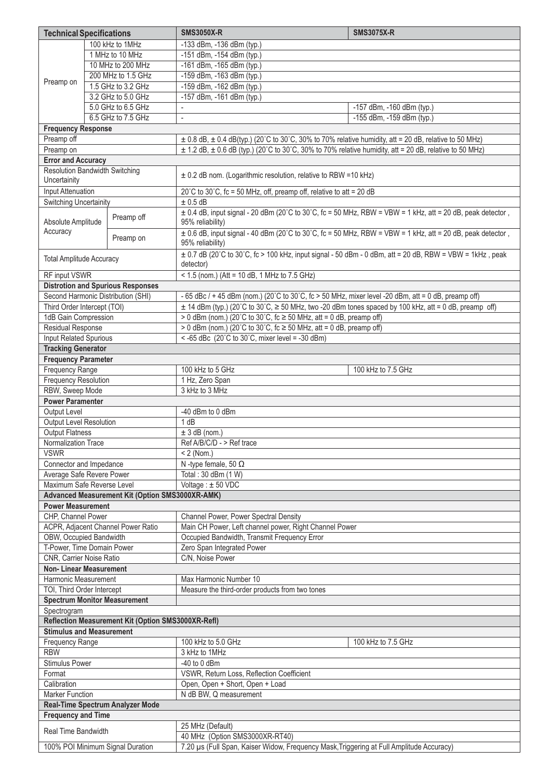| <b>Technical Specifications</b>                                                                                              |  |                                                 | <b>SMS3050X-R</b>                                                                                                                  | <b>SMS3075X-R</b>         |  |  |  |
|------------------------------------------------------------------------------------------------------------------------------|--|-------------------------------------------------|------------------------------------------------------------------------------------------------------------------------------------|---------------------------|--|--|--|
|                                                                                                                              |  | 100 kHz to 1MHz                                 | -133 dBm, -136 dBm (typ.)                                                                                                          |                           |  |  |  |
|                                                                                                                              |  | 1 MHz to 10 MHz                                 | -151 dBm, -154 dBm (typ.)                                                                                                          |                           |  |  |  |
|                                                                                                                              |  | 10 MHz to 200 MHz                               | -161 dBm, -165 dBm (typ.)                                                                                                          |                           |  |  |  |
|                                                                                                                              |  | 200 MHz to 1.5 GHz                              | -159 dBm, -163 dBm (typ.)                                                                                                          |                           |  |  |  |
| Preamp on                                                                                                                    |  | 1.5 GHz to 3.2 GHz                              | -159 dBm, -162 dBm (typ.)                                                                                                          |                           |  |  |  |
|                                                                                                                              |  | 3.2 GHz to 5.0 GHz                              | -157 dBm, -161 dBm (typ.)                                                                                                          |                           |  |  |  |
|                                                                                                                              |  | 5.0 GHz to 6.5 GHz                              | $\blacksquare$                                                                                                                     | -157 dBm, -160 dBm (typ.) |  |  |  |
| 6.5 GHz to 7.5 GHz                                                                                                           |  |                                                 | $\overline{\phantom{a}}$                                                                                                           | -155 dBm, -159 dBm (typ.) |  |  |  |
| <b>Frequency Response</b>                                                                                                    |  |                                                 |                                                                                                                                    |                           |  |  |  |
| Preamp off<br>$\pm$ 0.8 dB, $\pm$ 0.4 dB(typ.) (20°C to 30°C, 30% to 70% relative humidity, att = 20 dB, relative to 50 MHz) |  |                                                 |                                                                                                                                    |                           |  |  |  |
| Preamp on                                                                                                                    |  |                                                 | $\pm$ 1.2 dB, $\pm$ 0.6 dB (typ.) (20°C to 30°C, 30% to 70% relative humidity, att = 20 dB, relative to 50 MHz)                    |                           |  |  |  |
| <b>Error and Accuracy</b>                                                                                                    |  |                                                 |                                                                                                                                    |                           |  |  |  |
| <b>Resolution Bandwidth Switching</b>                                                                                        |  |                                                 |                                                                                                                                    |                           |  |  |  |
| ± 0.2 dB nom. (Logarithmic resolution, relative to RBW =10 kHz)<br>Uncertainity                                              |  |                                                 |                                                                                                                                    |                           |  |  |  |
| Input Attenuation                                                                                                            |  |                                                 | 20°C to 30°C, fc = 50 MHz, off, preamp off, relative to att = 20 dB                                                                |                           |  |  |  |
| <b>Switching Uncertainity</b>                                                                                                |  |                                                 | $± 0.5$ dB                                                                                                                         |                           |  |  |  |
| Absolute Amplitude                                                                                                           |  | Preamp off                                      | $\pm$ 0.4 dB, input signal - 20 dBm (20°C to 30°C, fc = 50 MHz, RBW = VBW = 1 kHz, att = 20 dB, peak detector,<br>95% reliability) |                           |  |  |  |
| Accuracy                                                                                                                     |  | Preamp on                                       | $\pm$ 0.6 dB, input signal - 40 dBm (20°C to 30°C, fc = 50 MHz, RBW = VBW = 1 kHz, att = 20 dB, peak detector,<br>95% reliability) |                           |  |  |  |
| <b>Total Amplitude Accuracy</b>                                                                                              |  |                                                 | ± 0.7 dB (20°C to 30°C, fc > 100 kHz, input signal - 50 dBm - 0 dBm, att = 20 dB, RBW = VBW = 1kHz, peak<br>detector)              |                           |  |  |  |
| RF input VSWR                                                                                                                |  |                                                 | < 1.5 (nom.) (Att = 10 dB, 1 MHz to 7.5 GHz)                                                                                       |                           |  |  |  |
|                                                                                                                              |  | <b>Distrotion and Spurious Responses</b>        |                                                                                                                                    |                           |  |  |  |
|                                                                                                                              |  | Second Harmonic Distribution (SHI)              | - 65 dBc / + 45 dBm (nom.) (20°C to 30°C, fc > 50 MHz, mixer level -20 dBm, att = 0 dB, preamp off)                                |                           |  |  |  |
| Third Order Intercept (TOI)                                                                                                  |  |                                                 | $\pm$ 14 dBm (typ.) (20°C to 30°C, $\geq$ 50 MHz, two -20 dBm tones spaced by 100 kHz, att = 0 dB, preamp off)                     |                           |  |  |  |
| 1dB Gain Compression                                                                                                         |  |                                                 | > 0 dBm (nom.) (20°C to 30°C, fc $\ge$ 50 MHz, att = 0 dB, preamp off)                                                             |                           |  |  |  |
| Residual Response<br>> 0 dBm (nom.) (20°C to 30°C, fc $\ge$ 50 MHz, att = 0 dB, preamp off)                                  |  |                                                 |                                                                                                                                    |                           |  |  |  |
| Input Related Spurious                                                                                                       |  |                                                 | < -65 dBc $(20^{\circ}$ C to $30^{\circ}$ C, mixer level = -30 dBm)                                                                |                           |  |  |  |
| <b>Tracking Generator</b>                                                                                                    |  |                                                 |                                                                                                                                    |                           |  |  |  |
| <b>Frequency Parameter</b>                                                                                                   |  |                                                 |                                                                                                                                    |                           |  |  |  |
| <b>Frequency Range</b>                                                                                                       |  |                                                 | 100 kHz to 5 GHz                                                                                                                   | 100 kHz to 7.5 GHz        |  |  |  |
| <b>Frequency Resolution</b>                                                                                                  |  |                                                 | 1 Hz, Zero Span                                                                                                                    |                           |  |  |  |
| RBW, Sweep Mode                                                                                                              |  |                                                 | 3 kHz to 3 MHz                                                                                                                     |                           |  |  |  |
| <b>Power Paramenter</b>                                                                                                      |  |                                                 |                                                                                                                                    |                           |  |  |  |
| Output Level                                                                                                                 |  |                                                 | -40 dBm to 0 dBm                                                                                                                   |                           |  |  |  |
| Output Level Resolution                                                                                                      |  |                                                 | 1 dB                                                                                                                               |                           |  |  |  |
| <b>Output Flatness</b><br>Normalization Trace                                                                                |  |                                                 | $± 3$ dB (nom.)<br>Ref A/B/C/D - > Ref trace                                                                                       |                           |  |  |  |
| <b>VSWR</b><br>$< 2$ (Nom.)                                                                                                  |  |                                                 |                                                                                                                                    |                           |  |  |  |
|                                                                                                                              |  |                                                 | N -type female, 50 $\Omega$                                                                                                        |                           |  |  |  |
| Connector and Impedance<br>Average Safe Revere Power                                                                         |  |                                                 | Total: 30 dBm (1 W)                                                                                                                |                           |  |  |  |
| Maximum Safe Reverse Level                                                                                                   |  |                                                 | Voltage: ±50 VDC                                                                                                                   |                           |  |  |  |
|                                                                                                                              |  | Advanced Measurement Kit (Option SMS3000XR-AMK) |                                                                                                                                    |                           |  |  |  |
| <b>Power Measurement</b>                                                                                                     |  |                                                 |                                                                                                                                    |                           |  |  |  |
| CHP. Channel Power                                                                                                           |  |                                                 | Channel Power, Power Spectral Density                                                                                              |                           |  |  |  |
|                                                                                                                              |  | ACPR, Adjacent Channel Power Ratio              | Main CH Power, Left channel power, Right Channel Power                                                                             |                           |  |  |  |
| OBW, Occupied Bandwidth                                                                                                      |  |                                                 | Occupied Bandwidth, Transmit Frequency Error                                                                                       |                           |  |  |  |
| T-Power, Time Domain Power                                                                                                   |  |                                                 | Zero Span Integrated Power                                                                                                         |                           |  |  |  |
| CNR, Carrier Noise Ratio                                                                                                     |  |                                                 | C/N, Noise Power                                                                                                                   |                           |  |  |  |
| <b>Non-Linear Measurement</b>                                                                                                |  |                                                 |                                                                                                                                    |                           |  |  |  |
| Harmonic Measurement                                                                                                         |  |                                                 | Max Harmonic Number 10                                                                                                             |                           |  |  |  |
| TOI, Third Order Intercept                                                                                                   |  |                                                 | Measure the third-order products from two tones                                                                                    |                           |  |  |  |
| <b>Spectrum Monitor Measurement</b>                                                                                          |  |                                                 |                                                                                                                                    |                           |  |  |  |
| Spectrogram                                                                                                                  |  |                                                 |                                                                                                                                    |                           |  |  |  |
| Reflection Measurement Kit (Option SMS3000XR-Refl)<br><b>Stimulus and Measurement</b>                                        |  |                                                 |                                                                                                                                    |                           |  |  |  |
|                                                                                                                              |  |                                                 |                                                                                                                                    |                           |  |  |  |
| <b>Frequency Range</b>                                                                                                       |  |                                                 | 100 kHz to 5.0 GHz                                                                                                                 | 100 kHz to 7.5 GHz        |  |  |  |
| <b>RBW</b><br>3 kHz to 1MHz<br><b>Stimulus Power</b>                                                                         |  |                                                 |                                                                                                                                    |                           |  |  |  |
| Format                                                                                                                       |  |                                                 | $-40$ to 0 dBm<br>VSWR, Return Loss, Reflection Coefficient                                                                        |                           |  |  |  |
| Calibration                                                                                                                  |  |                                                 | Open, Open + Short, Open + Load                                                                                                    |                           |  |  |  |
| <b>Marker Function</b>                                                                                                       |  |                                                 | N dB BW, Q measurement                                                                                                             |                           |  |  |  |
| Real-Time Spectrum Analyzer Mode                                                                                             |  |                                                 |                                                                                                                                    |                           |  |  |  |
| <b>Frequency and Time</b>                                                                                                    |  |                                                 |                                                                                                                                    |                           |  |  |  |
|                                                                                                                              |  |                                                 | 25 MHz (Default)                                                                                                                   |                           |  |  |  |
| <b>Real Time Bandwidth</b>                                                                                                   |  |                                                 | 40 MHz (Option SMS3000XR-RT40)                                                                                                     |                           |  |  |  |
|                                                                                                                              |  | 100% POI Minimum Signal Duration                | 7.20 µs (Full Span, Kaiser Widow, Frequency Mask, Triggering at Full Amplitude Accuracy)                                           |                           |  |  |  |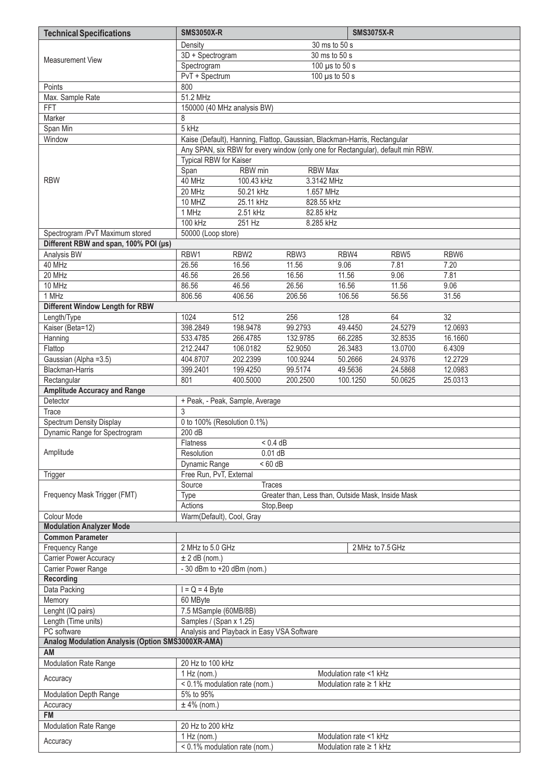| <b>Technical Specifications</b>                   | <b>SMS3050X-R</b>                                                                   |                                 |                                                                                 |         | <b>SMS3075X-R</b>                                      |                  |                  |
|---------------------------------------------------|-------------------------------------------------------------------------------------|---------------------------------|---------------------------------------------------------------------------------|---------|--------------------------------------------------------|------------------|------------------|
|                                                   | Density<br>30 ms to 50 s                                                            |                                 |                                                                                 |         |                                                        |                  |                  |
|                                                   | 3D + Spectrogram<br>30 ms to 50 s                                                   |                                 |                                                                                 |         |                                                        |                  |                  |
| <b>Measurement View</b>                           | Spectrogram                                                                         |                                 | 100 $\mu$ s to 50 s                                                             |         |                                                        |                  |                  |
|                                                   | PvT + Spectrum<br>100 µs to 50 s                                                    |                                 |                                                                                 |         |                                                        |                  |                  |
| Points                                            | 800                                                                                 |                                 |                                                                                 |         |                                                        |                  |                  |
| Max. Sample Rate                                  | 51.2 MHz                                                                            |                                 |                                                                                 |         |                                                        |                  |                  |
| FFT                                               | 150000 (40 MHz analysis BW)                                                         |                                 |                                                                                 |         |                                                        |                  |                  |
| Marker                                            | 8                                                                                   |                                 |                                                                                 |         |                                                        |                  |                  |
| Span Min                                          | 5 kHz                                                                               |                                 |                                                                                 |         |                                                        |                  |                  |
| Window                                            |                                                                                     |                                 | Kaise (Default), Hanning, Flattop, Gaussian, Blackman-Harris, Rectangular       |         |                                                        |                  |                  |
|                                                   |                                                                                     |                                 | Any SPAN, six RBW for every window (only one for Rectangular), default min RBW. |         |                                                        |                  |                  |
|                                                   | Typical RBW for Kaiser                                                              |                                 |                                                                                 |         |                                                        |                  |                  |
|                                                   | Span                                                                                | RBW min                         | <b>RBW Max</b>                                                                  |         |                                                        |                  |                  |
| <b>RBW</b>                                        | 40 MHz                                                                              | 100.43 kHz                      | 3.3142 MHz                                                                      |         |                                                        |                  |                  |
|                                                   | 20 MHz                                                                              | 50.21 kHz                       | 1.657 MHz                                                                       |         |                                                        |                  |                  |
|                                                   | 10 MHZ<br>1 MHz                                                                     | 25.11 kHz<br>2.51 kHz           | 828.55 kHz<br>82.85 kHz                                                         |         |                                                        |                  |                  |
|                                                   | 100 kHz                                                                             | 251 Hz                          | 8.285 kHz                                                                       |         |                                                        |                  |                  |
| Spectrogram /PvT Maximum stored                   | 50000 (Loop store)                                                                  |                                 |                                                                                 |         |                                                        |                  |                  |
| Different RBW and span, 100% POI (µs)             |                                                                                     |                                 |                                                                                 |         |                                                        |                  |                  |
| Analysis BW                                       | RBW1                                                                                | RBW <sub>2</sub>                | RBW <sub>3</sub>                                                                | RBW4    |                                                        | RBW <sub>5</sub> | RBW <sub>6</sub> |
| 40 MHz                                            | 26.56                                                                               | 16.56                           | 11.56                                                                           | 9.06    |                                                        | 7.81             | 7.20             |
| 20 MHz                                            | 46.56                                                                               | 26.56                           | 16.56                                                                           | 11.56   |                                                        | 9.06             | 7.81             |
| 10 MHz                                            | 86.56                                                                               | 46.56                           | 26.56                                                                           | 16.56   |                                                        | 11.56            | 9.06             |
| 1 MHz                                             | 806.56                                                                              | 406.56                          | 206.56                                                                          | 106.56  |                                                        | 56.56            | 31.56            |
| Different Window Length for RBW                   |                                                                                     |                                 |                                                                                 |         |                                                        |                  |                  |
| Length/Type                                       | 1024                                                                                | 512                             | 256                                                                             | 128     |                                                        | 64               | 32               |
| Kaiser (Beta=12)                                  | 398.2849                                                                            | 198.9478                        | 99.2793                                                                         | 49.4450 |                                                        | 24.5279          | 12.0693          |
| Hanning                                           | 533.4785                                                                            | 266.4785                        | 132.9785                                                                        | 66.2285 |                                                        | 32.8535          | 16.1660          |
| Flattop                                           | 212.2447                                                                            | 106.0182                        | 52.9050                                                                         |         | 26.3483                                                | 13.0700          | 6.4309           |
| Gaussian (Alpha = 3.5)                            | 404.8707                                                                            | 202.2399                        | 100.9244                                                                        |         | 50.2666                                                | 24.9376          | 12.2729          |
| Blackman-Harris                                   | 399.2401                                                                            | 199.4250                        | 99.5174                                                                         | 49.5636 |                                                        | 24.5868          | 12.0983          |
| Rectangular                                       | 801                                                                                 | 400.5000                        | 200.2500                                                                        |         | 100.1250                                               | 50.0625          | 25.0313          |
| <b>Amplitude Accuracy and Range</b>               |                                                                                     |                                 |                                                                                 |         |                                                        |                  |                  |
| Detector                                          |                                                                                     | + Peak, - Peak, Sample, Average |                                                                                 |         |                                                        |                  |                  |
| <b>Trace</b>                                      | 3                                                                                   |                                 |                                                                                 |         |                                                        |                  |                  |
| <b>Spectrum Density Display</b>                   | 0 to 100% (Resolution 0.1%)                                                         |                                 |                                                                                 |         |                                                        |                  |                  |
| Dynamic Range for Spectrogram                     | 200 dB                                                                              |                                 |                                                                                 |         |                                                        |                  |                  |
|                                                   | <b>Flatness</b>                                                                     | < 0.4 dB                        |                                                                                 |         |                                                        |                  |                  |
| Amplitude                                         | Resolution                                                                          | $0.01$ dB                       |                                                                                 |         |                                                        |                  |                  |
|                                                   | Dynamic Range                                                                       | $< 60$ dB                       |                                                                                 |         |                                                        |                  |                  |
| Trigger                                           | Free Run, PvT, External                                                             |                                 |                                                                                 |         |                                                        |                  |                  |
| Frequency Mask Trigger (FMT)                      | Source                                                                              | <b>Traces</b>                   |                                                                                 |         |                                                        |                  |                  |
|                                                   | Greater than, Less than, Outside Mask, Inside Mask<br>Type<br>Actions<br>Stop, Beep |                                 |                                                                                 |         |                                                        |                  |                  |
| Colour Mode                                       | Warm(Default), Cool, Gray                                                           |                                 |                                                                                 |         |                                                        |                  |                  |
| <b>Modulation Analyzer Mode</b>                   |                                                                                     |                                 |                                                                                 |         |                                                        |                  |                  |
| <b>Common Parameter</b>                           |                                                                                     |                                 |                                                                                 |         |                                                        |                  |                  |
| <b>Frequency Range</b>                            | 2 MHz to 5.0 GHz                                                                    |                                 |                                                                                 |         | 2 MHz to 7.5 GHz                                       |                  |                  |
| <b>Carrier Power Accuracy</b>                     | $± 2$ dB (nom.)                                                                     |                                 |                                                                                 |         |                                                        |                  |                  |
| Carrier Power Range                               | - 30 dBm to +20 dBm (nom.)                                                          |                                 |                                                                                 |         |                                                        |                  |                  |
| Recording                                         |                                                                                     |                                 |                                                                                 |         |                                                        |                  |                  |
| Data Packing                                      | $I = Q = 4$ Byte                                                                    |                                 |                                                                                 |         |                                                        |                  |                  |
| Memory                                            | 60 MByte                                                                            |                                 |                                                                                 |         |                                                        |                  |                  |
| Lenght (IQ pairs)                                 | 7.5 MSample (60MB/8B)                                                               |                                 |                                                                                 |         |                                                        |                  |                  |
| Length (Time units)                               | Samples / (Span x 1.25)                                                             |                                 |                                                                                 |         |                                                        |                  |                  |
| PC software                                       | Analysis and Playback in Easy VSA Software                                          |                                 |                                                                                 |         |                                                        |                  |                  |
| Analog Modulation Analysis (Option SMS3000XR-AMA) |                                                                                     |                                 |                                                                                 |         |                                                        |                  |                  |
| AM                                                |                                                                                     |                                 |                                                                                 |         |                                                        |                  |                  |
| <b>Modulation Rate Range</b>                      | 20 Hz to 100 kHz                                                                    |                                 |                                                                                 |         |                                                        |                  |                  |
| Accuracy                                          | $1$ Hz (nom.)                                                                       |                                 | Modulation rate <1 kHz                                                          |         |                                                        |                  |                  |
|                                                   | < 0.1% modulation rate (nom.)                                                       |                                 |                                                                                 |         | Modulation rate $\geq 1$ kHz                           |                  |                  |
| <b>Modulation Depth Range</b>                     | 5% to 95%                                                                           |                                 |                                                                                 |         |                                                        |                  |                  |
| Accuracy                                          | $±$ 4% (nom.)                                                                       |                                 |                                                                                 |         |                                                        |                  |                  |
| <b>FM</b>                                         |                                                                                     |                                 |                                                                                 |         |                                                        |                  |                  |
| Modulation Rate Range                             | 20 Hz to 200 kHz                                                                    |                                 |                                                                                 |         |                                                        |                  |                  |
| Accuracy                                          | $1$ Hz (nom.)<br>< 0.1% modulation rate (nom.)                                      |                                 |                                                                                 |         | Modulation rate <1 kHz<br>Modulation rate $\geq 1$ kHz |                  |                  |
|                                                   |                                                                                     |                                 |                                                                                 |         |                                                        |                  |                  |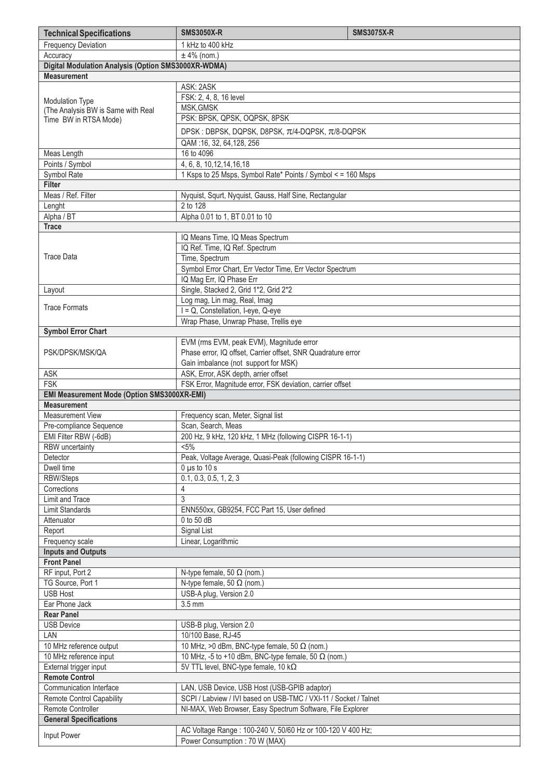| <b>Technical Specifications</b>                     | <b>SMS3050X-R</b>                                                                                  | <b>SMS3075X-R</b> |  |  |
|-----------------------------------------------------|----------------------------------------------------------------------------------------------------|-------------------|--|--|
| <b>Frequency Deviation</b>                          | 1 kHz to 400 kHz                                                                                   |                   |  |  |
| Accuracy                                            | $±$ 4% (nom.)                                                                                      |                   |  |  |
| Digital Modulation Analysis (Option SMS3000XR-WDMA) |                                                                                                    |                   |  |  |
| <b>Measurement</b>                                  |                                                                                                    |                   |  |  |
|                                                     | ASK: 2ASK                                                                                          |                   |  |  |
| <b>Modulation Type</b>                              | FSK: 2, 4, 8, 16 level                                                                             |                   |  |  |
| (The Analysis BW is Same with Real                  | MSK, GMSK<br>PSK: BPSK, QPSK, OQPSK, 8PSK                                                          |                   |  |  |
| Time BW in RTSA Mode)                               |                                                                                                    |                   |  |  |
|                                                     | DPSK: DBPSK, DQPSK, D8PSK, π/4-DQPSK, π/8-DQPSK                                                    |                   |  |  |
|                                                     | QAM:16, 32, 64, 128, 256                                                                           |                   |  |  |
| Meas Length                                         | 16 to 4096                                                                                         |                   |  |  |
| Points / Symbol                                     | 4, 6, 8, 10, 12, 14, 16, 18                                                                        |                   |  |  |
| Symbol Rate<br><b>Filter</b>                        | 1 Ksps to 25 Msps, Symbol Rate* Points / Symbol < = 160 Msps                                       |                   |  |  |
| Meas / Ref. Filter                                  | Nyquist, Squrt, Nyquist, Gauss, Half Sine, Rectangular                                             |                   |  |  |
| Lenght                                              | 2 to 128                                                                                           |                   |  |  |
| Alpha / BT                                          | Alpha 0.01 to 1, BT 0.01 to 10                                                                     |                   |  |  |
| <b>Trace</b>                                        |                                                                                                    |                   |  |  |
|                                                     | IQ Means Time, IQ Meas Spectrum                                                                    |                   |  |  |
|                                                     | IQ Ref. Time, IQ Ref. Spectrum                                                                     |                   |  |  |
| <b>Trace Data</b>                                   | Time, Spectrum                                                                                     |                   |  |  |
|                                                     | Symbol Error Chart, Err Vector Time, Err Vector Spectrum                                           |                   |  |  |
|                                                     | IQ Mag Err, IQ Phase Err                                                                           |                   |  |  |
| Layout                                              | Single, Stacked 2, Grid 1*2, Grid 2*2                                                              |                   |  |  |
| <b>Trace Formats</b>                                | Log mag, Lin mag, Real, Imag                                                                       |                   |  |  |
|                                                     | I = Q, Constellation, I-eye, Q-eye                                                                 |                   |  |  |
|                                                     | Wrap Phase, Unwrap Phase, Trellis eye                                                              |                   |  |  |
| <b>Symbol Error Chart</b>                           | EVM (rms EVM, peak EVM), Magnitude error                                                           |                   |  |  |
| PSK/DPSK/MSK/QA                                     | Phase error, IQ offset, Carrier offset, SNR Quadrature error                                       |                   |  |  |
|                                                     | Gain imbalance (not support for MSK)                                                               |                   |  |  |
| <b>ASK</b>                                          | ASK, Error, ASK depth, arrier offset                                                               |                   |  |  |
| <b>FSK</b>                                          | FSK Error, Magnitude error, FSK deviation, carrier offset                                          |                   |  |  |
| <b>EMI Measurement Mode (Option SMS3000XR-EMI)</b>  |                                                                                                    |                   |  |  |
| <b>Measurement</b>                                  |                                                                                                    |                   |  |  |
| <b>Measurement View</b>                             | Frequency scan, Meter, Signal list                                                                 |                   |  |  |
| Pre-compliance Sequence                             | Scan, Search, Meas                                                                                 |                   |  |  |
| EMI Filter RBW (-6dB)                               | 200 Hz, 9 kHz, 120 kHz, 1 MHz (following CISPR 16-1-1)                                             |                   |  |  |
| RBW uncertainty                                     | $< 5\%$                                                                                            |                   |  |  |
| Detector                                            | Peak, Voltage Average, Quasi-Peak (following CISPR 16-1-1)                                         |                   |  |  |
| Dwell time                                          | $0 \mu s$ to 10 s                                                                                  |                   |  |  |
| RBW/Steps<br>Corrections                            | 0.1, 0.3, 0.5, 1, 2, 3                                                                             |                   |  |  |
| Limit and Trace                                     | 4<br>3                                                                                             |                   |  |  |
| <b>Limit Standards</b>                              | ENN550xx, GB9254, FCC Part 15, User defined                                                        |                   |  |  |
| Attenuator                                          | 0 to 50 dB                                                                                         |                   |  |  |
| Report                                              | Signal List                                                                                        |                   |  |  |
| Frequency scale                                     | Linear, Logarithmic                                                                                |                   |  |  |
| <b>Inputs and Outputs</b>                           |                                                                                                    |                   |  |  |
| <b>Front Panel</b>                                  |                                                                                                    |                   |  |  |
| RF input, Port 2                                    | N-type female, 50 $\Omega$ (nom.)                                                                  |                   |  |  |
| TG Source, Port 1                                   | N-type female, 50 $\Omega$ (nom.)                                                                  |                   |  |  |
| <b>USB Host</b>                                     | USB-A plug, Version 2.0                                                                            |                   |  |  |
| Ear Phone Jack                                      | 3.5 mm                                                                                             |                   |  |  |
| <b>Rear Panel</b>                                   |                                                                                                    |                   |  |  |
| <b>USB Device</b>                                   | USB-B plug, Version 2.0                                                                            |                   |  |  |
| LAN                                                 | 10/100 Base, RJ-45                                                                                 |                   |  |  |
| 10 MHz reference output<br>10 MHz reference input   | 10 MHz, >0 dBm, BNC-type female, 50 $\Omega$ (nom.)                                                |                   |  |  |
| External trigger input                              | 10 MHz, -5 to +10 dBm, BNC-type female, 50 $\Omega$ (nom.)<br>5V TTL level, BNC-type female, 10 kΩ |                   |  |  |
| <b>Remote Control</b>                               |                                                                                                    |                   |  |  |
| <b>Communication Interface</b>                      | LAN, USB Device, USB Host (USB-GPIB adaptor)                                                       |                   |  |  |
| <b>Remote Control Capability</b>                    | SCPI / Labview / IVI based on USB-TMC / VXI-11 / Socket / Talnet                                   |                   |  |  |
| Remote Controller                                   | NI-MAX, Web Browser, Easy Spectrum Software, File Explorer                                         |                   |  |  |
| <b>General Specifications</b>                       |                                                                                                    |                   |  |  |
|                                                     | AC Voltage Range: 100-240 V, 50/60 Hz or 100-120 V 400 Hz;                                         |                   |  |  |
| Input Power                                         | Power Consumption: 70 W (MAX)                                                                      |                   |  |  |